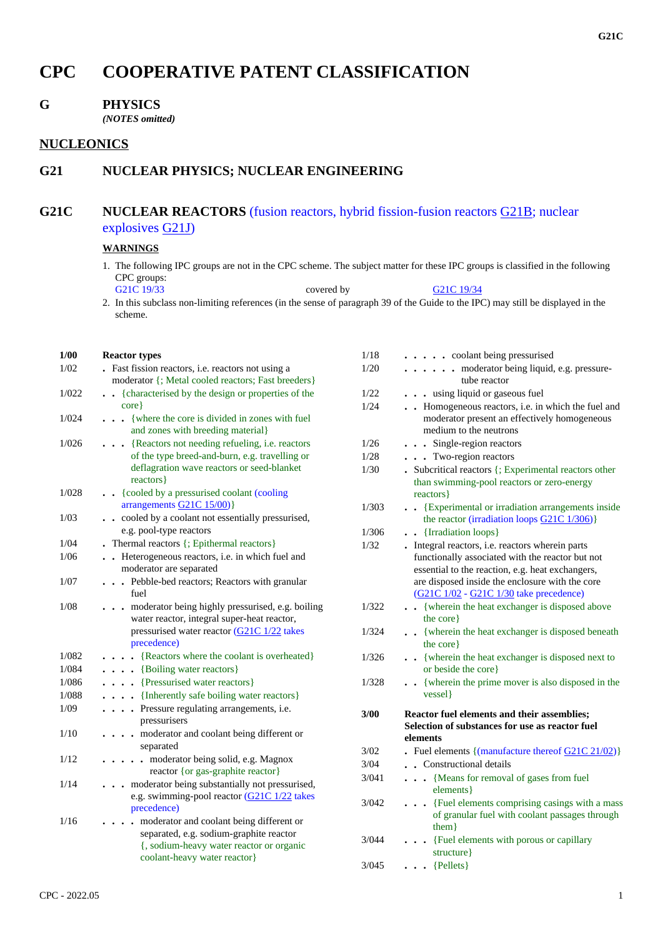# **CPC COOPERATIVE PATENT CLASSIFICATION**

### **G PHYSICS**

*(NOTES omitted)*

# **NUCLEONICS**

# **G21 NUCLEAR PHYSICS; NUCLEAR ENGINEERING**

# **G21C NUCLEAR REACTORS** (fusion reactors, hybrid fission-fusion reactors G21B; nuclear explosives G21J)

#### **WARNINGS**

1. The following IPC groups are not in the CPC scheme. The subject matter for these IPC groups is classified in the following CPC groups:<br>G21C 19/33

covered by G21C 19/34 2. In this subclass non-limiting references (in the sense of paragraph 39 of the Guide to the IPC) may still be displayed in the scheme.

#### **1/00 Reactor types**

| 1/02  | . Fast fission reactors, i.e. reactors not using a<br>moderator {; Metal cooled reactors; Fast breeders}                                                                                |
|-------|-----------------------------------------------------------------------------------------------------------------------------------------------------------------------------------------|
| 1/022 | {characterised by the design or properties of the<br>$\ddot{\phantom{0}}$<br>$core$ }                                                                                                   |
| 1/024 | {where the core is divided in zones with fuel<br>and zones with breeding material}                                                                                                      |
| 1/026 | {Reactors not needing refueling, i.e. reactors<br>of the type breed-and-burn, e.g. travelling or<br>deflagration wave reactors or seed-blanket<br>reactors }                            |
| 1/028 | {cooled by a pressurised coolant (cooling<br>$\ddot{\phantom{a}}$<br>arrangements $G21C$ 15/00)                                                                                         |
| 1/03  | . . cooled by a coolant not essentially pressurised,<br>e.g. pool-type reactors                                                                                                         |
| 1/04  | Thermal reactors {; Epithermal reactors}                                                                                                                                                |
| 1/06  | Heterogeneous reactors, i.e. in which fuel and<br>moderator are separated                                                                                                               |
| 1/07  | . Pebble-bed reactors; Reactors with granular<br>fuel                                                                                                                                   |
| 1/08  | moderator being highly pressurised, e.g. boiling<br>water reactor, integral super-heat reactor,<br>pressurised water reactor (G21C 1/22 takes<br>precedence)                            |
| 1/082 | {Reactors where the coolant is overheated}                                                                                                                                              |
| 1/084 | {Boiling water reactors}                                                                                                                                                                |
| 1/086 | {Pressurised water reactors}                                                                                                                                                            |
| 1/088 | {Inherently safe boiling water reactors}                                                                                                                                                |
| 1/09  | Pressure regulating arrangements, i.e.<br>pressurisers                                                                                                                                  |
| 1/10  | . moderator and coolant being different or<br>separated                                                                                                                                 |
| 1/12  | moderator being solid, e.g. Magnox<br>$\ddot{\phantom{0}}$<br>reactor { or gas-graphite reactor}                                                                                        |
| 1/14  | moderator being substantially not pressurised,<br>e.g. swimming-pool reactor (G21C 1/22 takes<br>precedence)                                                                            |
| 1/16  | moderator and coolant being different or<br>$\ddot{\phantom{a}}$<br>separated, e.g. sodium-graphite reactor<br>{, sodium-heavy water reactor or organic<br>coolant-heavy water reactor} |

| 1/18  | . . coolant being pressurised                                                                                                                                                                               |
|-------|-------------------------------------------------------------------------------------------------------------------------------------------------------------------------------------------------------------|
| 1/20  | moderator being liquid, e.g. pressure-<br>$\sim$ $\sim$                                                                                                                                                     |
|       | tube reactor                                                                                                                                                                                                |
| 1/22  | . . using liquid or gaseous fuel                                                                                                                                                                            |
| 1/24  | . Homogeneous reactors, i.e. in which the fuel and<br>moderator present an effectively homogeneous<br>medium to the neutrons                                                                                |
| 1/26  | . Single-region reactors                                                                                                                                                                                    |
| 1/28  | . Two-region reactors                                                                                                                                                                                       |
| 1/30  | • Subcritical reactors {; Experimental reactors other<br>than swimming-pool reactors or zero-energy<br>reactors }                                                                                           |
| 1/303 | • {Experimental or irradiation arrangements inside<br>the reactor (irradiation loops G21C 1/306)}                                                                                                           |
| 1/306 | . . {Irradiation loops}                                                                                                                                                                                     |
| 1/32  | . Integral reactors, i.e. reactors wherein parts<br>functionally associated with the reactor but not<br>essential to the reaction, e.g. heat exchangers,<br>are disposed inside the enclosure with the core |
|       | (G21C 1/02 - G21C 1/30 take precedence)                                                                                                                                                                     |
| 1/322 | . {wherein the heat exchanger is disposed above<br>the core}                                                                                                                                                |
| 1/324 | . . {wherein the heat exchanger is disposed beneath<br>the core }                                                                                                                                           |
| 1/326 | • {wherein the heat exchanger is disposed next to<br>or beside the core}                                                                                                                                    |
| 1/328 | . {wherein the prime mover is also disposed in the<br>vessel}                                                                                                                                               |
| 3/00  | Reactor fuel elements and their assemblies;<br>Selection of substances for use as reactor fuel                                                                                                              |
|       | elements                                                                                                                                                                                                    |
| 3/02  | Fuel elements $\{(\text{manufacture thereof } G21C 21/02)\}$                                                                                                                                                |
| 3/04  | • Constructional details                                                                                                                                                                                    |
| 3/041 | {Means for removal of gases from fuel<br>$\ddot{\phantom{0}}$<br>elements }                                                                                                                                 |
| 3/042 | . Fuel elements comprising casings with a mass<br>of granular fuel with coolant passages through<br>them                                                                                                    |
| 3/044 | {Fuel elements with porous or capillary<br>structure }                                                                                                                                                      |
| 3/045 | $\bullet$ {Pellets}                                                                                                                                                                                         |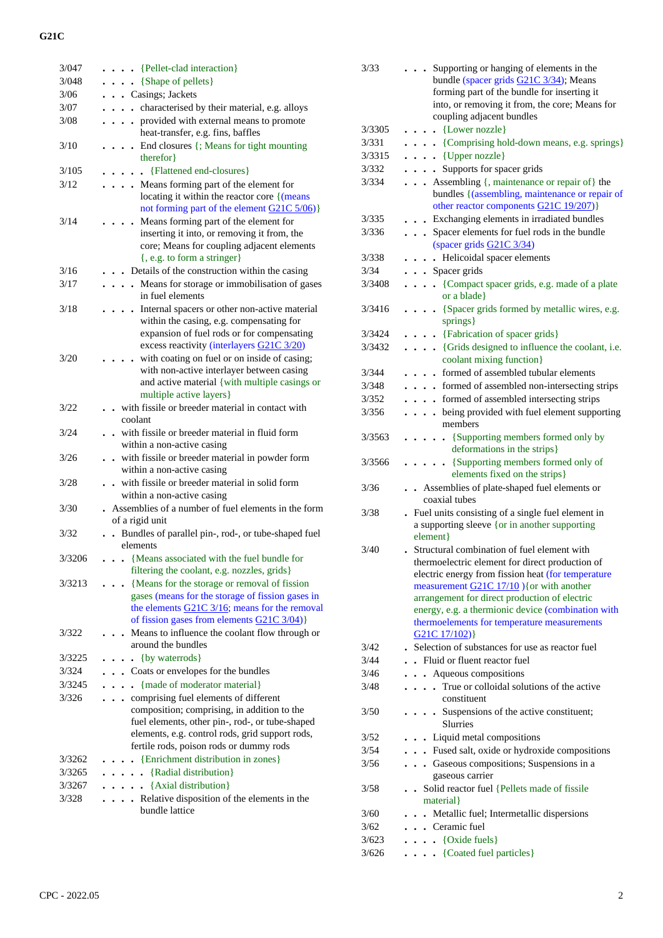| 3/047  |                                                                      |
|--------|----------------------------------------------------------------------|
|        | $\bullet$ $\bullet$ {Pellet-clad interaction}                        |
| 3/048  | $\ldots$ {Shape of pellets}                                          |
| 3/06   | . Casings; Jackets                                                   |
| 3/07   | . characterised by their material, e.g. alloys                       |
| 3/08   | provided with external means to promote                              |
|        | heat-transfer, e.g. fins, baffles                                    |
| 3/10   | . . End closures {; Means for tight mounting                         |
|        | therefor }                                                           |
| 3/105  | . . {Flattened end-closures}                                         |
|        |                                                                      |
| 3/12   | . Means forming part of the element for                              |
|        | locating it within the reactor core {(means                          |
|        | not forming part of the element G21C 5/06)}                          |
| 3/14   | Means forming part of the element for                                |
|        | inserting it into, or removing it from, the                          |
|        | core; Means for coupling adjacent elements                           |
|        | {, e.g. to form a stringer}                                          |
| 3/16   | Details of the construction within the casing                        |
| 3/17   | Means for storage or immobilisation of gases<br>$\ddot{\phantom{a}}$ |
|        | in fuel elements                                                     |
| 3/18   | Internal spacers or other non-active material                        |
|        | within the casing, e.g. compensating for                             |
|        | expansion of fuel rods or for compensating                           |
|        | excess reactivity (interlayers G21C 3/20)                            |
| 3/20   | with coating on fuel or on inside of casing;                         |
|        | with non-active interlayer between casing                            |
|        | and active material {with multiple casings or                        |
|        | multiple active layers}                                              |
| 3/22   | with fissile or breeder material in contact with                     |
|        | coolant                                                              |
| 3/24   | with fissile or breeder material in fluid form                       |
|        | within a non-active casing                                           |
| 3/26   | with fissile or breeder material in powder form                      |
|        | within a non-active casing                                           |
|        |                                                                      |
| 3/28   | with fissile or breeder material in solid form                       |
|        | within a non-active casing                                           |
| 3/30   | Assemblies of a number of fuel elements in the form                  |
|        |                                                                      |
|        | of a rigid unit                                                      |
| 3/32   | Bundles of parallel pin-, rod-, or tube-shaped fuel                  |
|        | elements                                                             |
| 3/3206 | • {Means associated with the fuel bundle for                         |
|        | filtering the coolant, e.g. nozzles, grids }                         |
| 3/3213 | {Means for the storage or removal of fission                         |
|        | gases (means for the storage of fission gases in                     |
|        | the elements $G21C$ $3/16$ ; means for the removal                   |
|        | of fission gases from elements G21C 3/04)}                           |
| 3/322  | Means to influence the coolant flow through or                       |
|        | around the bundles                                                   |
| 3/3225 | $\bullet$ {by waterrods}                                             |
| 3/324  | Coats or envelopes for the bundles                                   |
| 3/3245 | . {made of moderator material}                                       |
|        |                                                                      |
| 3/326  | comprising fuel elements of different<br>$\ddot{\phantom{a}}$        |
|        | composition; comprising, in addition to the                          |
|        | fuel elements, other pin-, rod-, or tube-shaped                      |
|        | elements, e.g. control rods, grid support rods,                      |
|        | fertile rods, poison rods or dummy rods                              |
| 3/3262 | {Enrichment distribution in zones}                                   |
| 3/3265 | {Radial distribution}<br>$\ddot{\phantom{0}}$                        |
| 3/3267 | {Axial distribution}<br>$\ddot{\phantom{0}}$<br>$\ddot{\phantom{a}}$ |
| 3/328  | Relative disposition of the elements in the<br>$\overline{a}$        |
|        | bundle lattice                                                       |

| 3/33   | Supporting or hanging of elements in the<br>bundle (spacer grids G21C 3/34); Means<br>forming part of the bundle for inserting it<br>into, or removing it from, the core; Means for |
|--------|-------------------------------------------------------------------------------------------------------------------------------------------------------------------------------------|
|        | coupling adjacent bundles                                                                                                                                                           |
|        | {Lower nozzle}<br>$\ddot{\phantom{a}}$                                                                                                                                              |
|        | . {Comprising hold-down means, e.g. springs}                                                                                                                                        |
|        | $\cdots$ {Upper nozzle}<br>. Supports for spacer grids                                                                                                                              |
|        | • Assembling {, maintenance or repair of} the                                                                                                                                       |
|        | bundles { (assembling, maintenance or repair of<br>other reactor components G21C 19/207)}                                                                                           |
|        | Exchanging elements in irradiated bundles                                                                                                                                           |
| 3/336  | Spacer elements for fuel rods in the bundle                                                                                                                                         |
|        | (spacer grids G21C 3/34)                                                                                                                                                            |
| 3/338  | . Helicoidal spacer elements                                                                                                                                                        |
| 3/34   | . Spacer grids                                                                                                                                                                      |
| 3/3408 | {Compact spacer grids, e.g. made of a plate<br>.<br>or a blade }                                                                                                                    |
| 3/3416 | {Spacer grids formed by metallic wires, e.g.<br>$\sim$<br>springs}                                                                                                                  |
| 3/3424 | • {Fabrication of spacer grids}                                                                                                                                                     |
| 3/3432 | {Grids designed to influence the coolant, i.e.                                                                                                                                      |
|        | coolant mixing function}                                                                                                                                                            |
|        | • formed of assembled tubular elements                                                                                                                                              |
|        | formed of assembled non-intersecting strips<br>formed of assembled intersecting strips                                                                                              |
|        | . being provided with fuel element supporting                                                                                                                                       |
|        | members                                                                                                                                                                             |
|        | {Supporting members formed only by<br>deformations in the strips}                                                                                                                   |
|        | {Supporting members formed only of<br>$\sim$ $\sim$<br>elements fixed on the strips}                                                                                                |
| 3/36   | Assemblies of plate-shaped fuel elements or                                                                                                                                         |
|        | coaxial tubes                                                                                                                                                                       |
| 3/38   | Fuel units consisting of a single fuel element in                                                                                                                                   |
|        | a supporting sleeve {or in another supporting<br>element}                                                                                                                           |
| 3/40   | • Structural combination of fuel element with                                                                                                                                       |
|        | thermoelectric element for direct production of                                                                                                                                     |
|        | electric energy from fission heat (for temperature<br>measurement $G21C 17/10$ ) { or with another                                                                                  |
|        | arrangement for direct production of electric                                                                                                                                       |
|        | energy, e.g. a thermionic device (combination with                                                                                                                                  |
|        | thermoelements for temperature measurements<br>G21C 17/102)}                                                                                                                        |
| 3/42   | . Selection of substances for use as reactor fuel                                                                                                                                   |
| 3/44   | . Fluid or fluent reactor fuel                                                                                                                                                      |
| 3/46   | . Aqueous compositions                                                                                                                                                              |
| 3/48   | True or colloidal solutions of the active<br>constituent                                                                                                                            |
|        | . Suspensions of the active constituent;<br><b>Slurries</b>                                                                                                                         |
| 3/52   | . . Liquid metal compositions                                                                                                                                                       |
| 3/54   | Fused salt, oxide or hydroxide compositions                                                                                                                                         |
|        | Gaseous compositions; Suspensions in a                                                                                                                                              |
|        | gaseous carrier<br>. Solid reactor fuel {Pellets made of fissile                                                                                                                    |
|        | material }                                                                                                                                                                          |
|        | . . Metallic fuel; Intermetallic dispersions<br>$\cdots$ Ceramic fuel                                                                                                               |
|        |                                                                                                                                                                                     |
|        | $\ldots$ {Oxide fuels}<br>$\ldots$ (Coated fuel particles)                                                                                                                          |
|        |                                                                                                                                                                                     |
|        | 3/3305<br>3/331<br>3/3315<br>3/332<br>3/334<br>3/335<br>3/344<br>3/348<br>3/352<br>3/356<br>3/3563<br>3/3566<br>3/50<br>3/56<br>3/58<br>3/60<br>3/62<br>3/623<br>3/626              |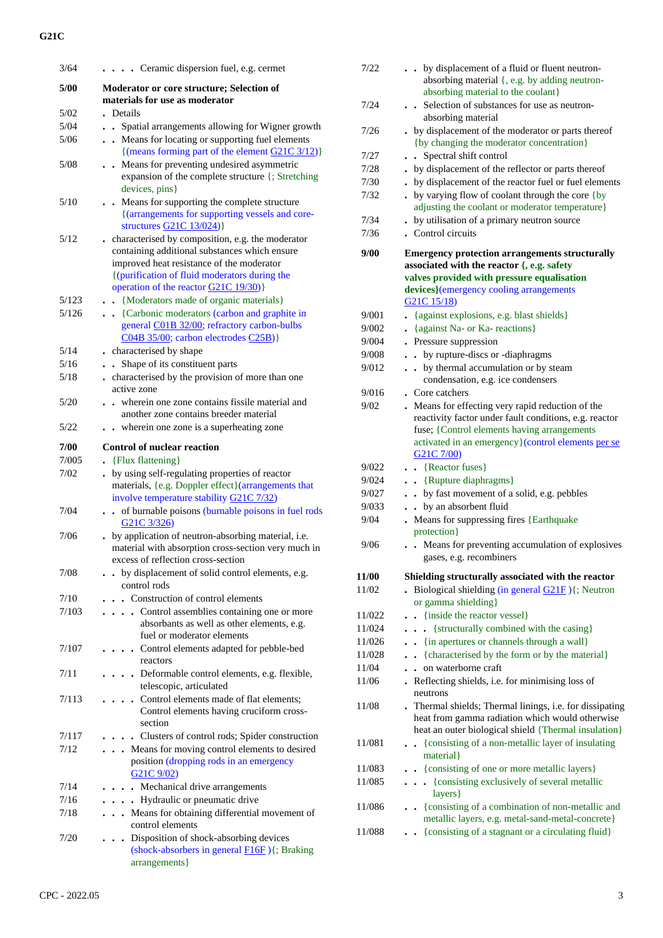| 3/64  | Ceramic dispersion fuel, e.g. cermet                                                                                                                                                                                                       |
|-------|--------------------------------------------------------------------------------------------------------------------------------------------------------------------------------------------------------------------------------------------|
| 5/00  | Moderator or core structure; Selection of<br>materials for use as moderator                                                                                                                                                                |
| 5/02  | . Details                                                                                                                                                                                                                                  |
| 5/04  | Spatial arrangements allowing for Wigner growth                                                                                                                                                                                            |
| 5/06  | . . Means for locating or supporting fuel elements<br>{(means forming part of the element $G21C$ 3/12)}                                                                                                                                    |
| 5/08  | Means for preventing undesired asymmetric<br>$\ddot{\phantom{a}}$<br>expansion of the complete structure {; Stretching<br>devices, pins}                                                                                                   |
| 5/10  | . . Means for supporting the complete structure<br>{(arrangements for supporting vessels and core-<br>structures $G21C$ $13/024$ )                                                                                                         |
| 5/12  | . characterised by composition, e.g. the moderator<br>containing additional substances which ensure<br>improved heat resistance of the moderator<br>{(purification of fluid moderators during the<br>operation of the reactor G21C 19/30)} |
| 5/123 | {Moderators made of organic materials}                                                                                                                                                                                                     |
| 5/126 | . . {Carbonic moderators (carbon and graphite in<br>general C01B 32/00; refractory carbon-bulbs<br>C04B 35/00; carbon electrodes C25B)}                                                                                                    |
| 5/14  | characterised by shape                                                                                                                                                                                                                     |
| 5/16  | Shape of its constituent parts<br>$\ddot{\phantom{a}}$                                                                                                                                                                                     |
| 5/18  | characterised by the provision of more than one<br>$\ddot{\phantom{0}}$<br>active zone                                                                                                                                                     |
| 5/20  | . . wherein one zone contains fissile material and<br>another zone contains breeder material                                                                                                                                               |
| 5/22  | wherein one zone is a superheating zone                                                                                                                                                                                                    |
| 7/00  | <b>Control of nuclear reaction</b>                                                                                                                                                                                                         |
| 7/005 | • {Flux flattening}                                                                                                                                                                                                                        |
|       |                                                                                                                                                                                                                                            |
| 7/02  | . by using self-regulating properties of reactor<br>materials, {e.g. Doppler effect} (arrangements that<br>involve temperature stability G21C 7/32)                                                                                        |
| 7/04  | of burnable poisons (burnable poisons in fuel rods<br>G <sub>2</sub> 1C 3/326)                                                                                                                                                             |
| 7/06  | by application of neutron-absorbing material, i.e.<br>material with absorption cross-section very much in<br>excess of reflection cross-section                                                                                            |
| 7/08  | • by displacement of solid control elements, e.g.<br>control rods                                                                                                                                                                          |
| 7/10  | . Construction of control elements                                                                                                                                                                                                         |
| 7/103 | Control assemblies containing one or more<br>$\cdot$ $\cdot$ $\cdot$<br>absorbants as well as other elements, e.g.<br>fuel or moderator elements                                                                                           |
| 7/107 | . . Control elements adapted for pebble-bed<br>reactors                                                                                                                                                                                    |
| 7/11  | . Deformable control elements, e.g. flexible,<br>telescopic, articulated                                                                                                                                                                   |
| 7/113 | Control elements made of flat elements;<br>Control elements having cruciform cross-<br>section                                                                                                                                             |
| 7/117 | • Clusters of control rods; Spider construction                                                                                                                                                                                            |
| 7/12  | . Means for moving control elements to desired<br>position (dropping rods in an emergency<br>G21C9/02                                                                                                                                      |
| 7/14  | . . Mechanical drive arrangements                                                                                                                                                                                                          |
| 7/16  | . Hydraulic or pneumatic drive                                                                                                                                                                                                             |
| 7/18  | . Means for obtaining differential movement of<br>control elements                                                                                                                                                                         |
| 7/20  | Disposition of shock-absorbing devices<br>(shock-absorbers in general $F16F$ ) {; Braking<br>arrangements }                                                                                                                                |

| 7/22         | by displacement of a fluid or fluent neutron-<br>absorbing material {, e.g. by adding neutron-<br>absorbing material to the coolant}                                                                                                 |
|--------------|--------------------------------------------------------------------------------------------------------------------------------------------------------------------------------------------------------------------------------------|
| 7/24         | Selection of substances for use as neutron-<br>absorbing material                                                                                                                                                                    |
| 7/26         | by displacement of the moderator or parts thereof<br>{by changing the moderator concentration}                                                                                                                                       |
| 7/27         | Spectral shift control<br>$\ddot{\phantom{a}}$                                                                                                                                                                                       |
| 7/28         | . by displacement of the reflector or parts thereof                                                                                                                                                                                  |
| 7/30         | . by displacement of the reactor fuel or fuel elements                                                                                                                                                                               |
| 7/32         | . by varying flow of coolant through the core {by<br>adjusting the coolant or moderator temperature}                                                                                                                                 |
| 7/34         | . by utilisation of a primary neutron source                                                                                                                                                                                         |
| 7/36         | . Control circuits                                                                                                                                                                                                                   |
| 9/00         | <b>Emergency protection arrangements structurally</b><br>associated with the reactor {, e.g. safety<br>valves provided with pressure equalisation<br>devices}(emergency cooling arrangements<br>G <sub>21</sub> C <sub>15</sub> /18) |
| 9/001        | {against explosions, e.g. blast shields}                                                                                                                                                                                             |
| 9/002        | {against Na- or Ka- reactions}<br>$\ddot{\phantom{0}}$                                                                                                                                                                               |
| 9/004        | Pressure suppression                                                                                                                                                                                                                 |
| 9/008        | by rupture-discs or -diaphragms<br>$\ddot{\phantom{a}}$                                                                                                                                                                              |
| 9/012        | by thermal accumulation or by steam                                                                                                                                                                                                  |
|              | condensation, e.g. ice condensers                                                                                                                                                                                                    |
| 9/016        | . Core catchers                                                                                                                                                                                                                      |
| 9/02         | . Means for effecting very rapid reduction of the                                                                                                                                                                                    |
|              | reactivity factor under fault conditions, e.g. reactor<br>fuse; {Control elements having arrangements<br>activated in an emergency}(control elements per se<br>G <sub>21</sub> C 7/00)                                               |
| 9/022        | $\cdot$ {Reactor fuses}                                                                                                                                                                                                              |
| 9/024        | • {Rupture diaphragms}                                                                                                                                                                                                               |
| 9/027        | . by fast movement of a solid, e.g. pebbles                                                                                                                                                                                          |
| 9/033        | by an absorbent fluid                                                                                                                                                                                                                |
| 9/04         | Means for suppressing fires {Earthquake<br>protection }                                                                                                                                                                              |
| 9/06         | • Means for preventing accumulation of explosives<br>gases, e.g. recombiners                                                                                                                                                         |
| <b>11/00</b> | Shielding structurally associated with the reactor                                                                                                                                                                                   |
| 11/02        | Biological shielding (in general $G21F$ ) $\{$ ; Neutron<br>or gamma shielding}                                                                                                                                                      |
| 11/022       | {inside the reactor vessel}                                                                                                                                                                                                          |
| 11/024       | • {structurally combined with the casing}<br>$\ddot{\phantom{0}}$                                                                                                                                                                    |
| 11/026       | • {in apertures or channels through a wall}                                                                                                                                                                                          |
| 11/028       | • {characterised by the form or by the material}                                                                                                                                                                                     |
| 11/04        | on waterborne craft                                                                                                                                                                                                                  |
| 11/06        | Reflecting shields, i.e. for minimising loss of<br>neutrons                                                                                                                                                                          |
| 11/08        | . Thermal shields; Thermal linings, i.e. for dissipating<br>heat from gamma radiation which would otherwise<br>heat an outer biological shield {Thermal insulation}                                                                  |
| 11/081       | {consisting of a non-metallic layer of insulating<br>$\ddot{\phantom{0}}$<br>material }                                                                                                                                              |
| 11/083       | {consisting of one or more metallic layers}                                                                                                                                                                                          |
| 11/085       | {consisting exclusively of several metallic<br>$\ddot{\phantom{0}}$<br>layers }                                                                                                                                                      |
| 11/086       | - {consisting of a combination of non-metallic and<br>metallic layers, e.g. metal-sand-metal-concrete}                                                                                                                               |
| 11/088       | {consisting of a stagnant or a circulating fluid}                                                                                                                                                                                    |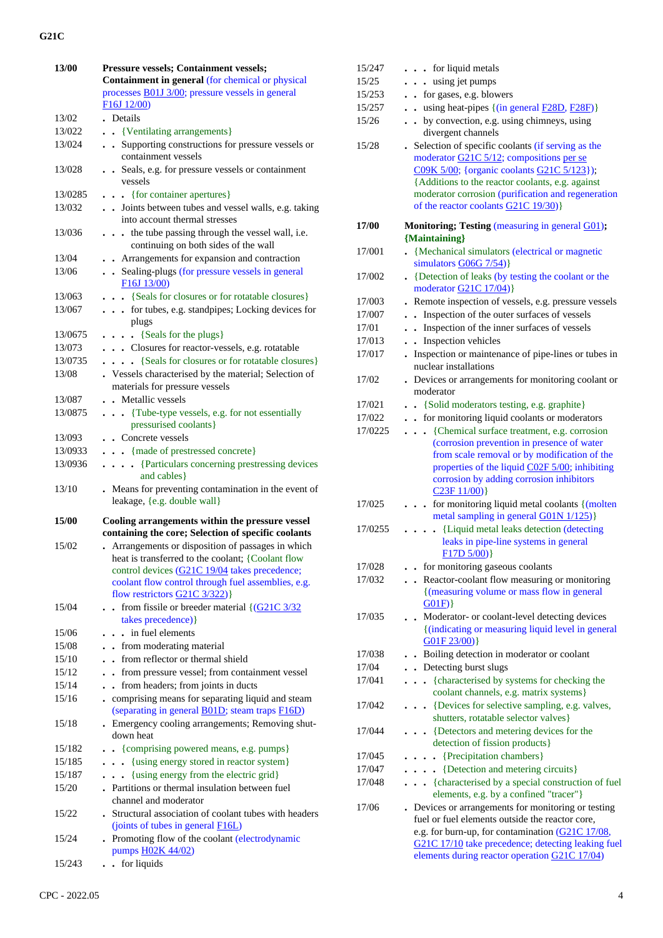| 13/00   | Pressure vessels; Containment vessels;                                                                                                                                                                                                        |
|---------|-----------------------------------------------------------------------------------------------------------------------------------------------------------------------------------------------------------------------------------------------|
|         | Containment in general (for chemical or physical                                                                                                                                                                                              |
|         | processes <b>B01J 3/00</b> ; pressure vessels in general                                                                                                                                                                                      |
|         | F16J 12/00)                                                                                                                                                                                                                                   |
| 13/02   | . Details                                                                                                                                                                                                                                     |
| 13/022  |                                                                                                                                                                                                                                               |
|         | {Ventilating arrangements}                                                                                                                                                                                                                    |
| 13/024  | . Supporting constructions for pressure vessels or<br>containment vessels                                                                                                                                                                     |
| 13/028  | • Seals, e.g. for pressure vessels or containment<br>vessels                                                                                                                                                                                  |
| 13/0285 | $\bullet$ $\bullet$ {for container apertures}                                                                                                                                                                                                 |
| 13/032  | . . Joints between tubes and vessel walls, e.g. taking                                                                                                                                                                                        |
|         | into account thermal stresses                                                                                                                                                                                                                 |
| 13/036  | the tube passing through the vessel wall, i.e.<br>$\ddot{\phantom{0}}$<br>continuing on both sides of the wall                                                                                                                                |
| 13/04   | Arrangements for expansion and contraction                                                                                                                                                                                                    |
| 13/06   | • Sealing-plugs (for pressure vessels in general<br>F16J 13/00)                                                                                                                                                                               |
| 13/063  | . {Seals for closures or for rotatable closures}                                                                                                                                                                                              |
| 13/067  | . for tubes, e.g. standpipes; Locking devices for                                                                                                                                                                                             |
|         | plugs                                                                                                                                                                                                                                         |
| 13/0675 | $\ldots$ {Seals for the plugs}                                                                                                                                                                                                                |
| 13/073  | . Closures for reactor-vessels, e.g. rotatable                                                                                                                                                                                                |
| 13/0735 | {Seals for closures or for rotatable closures}                                                                                                                                                                                                |
| 13/08   | . Vessels characterised by the material; Selection of<br>materials for pressure vessels                                                                                                                                                       |
| 13/087  | Metallic vessels                                                                                                                                                                                                                              |
| 13/0875 | . {Tube-type vessels, e.g. for not essentially<br>pressurised coolants}                                                                                                                                                                       |
| 13/093  | . Concrete vessels                                                                                                                                                                                                                            |
| 13/0933 | . {made of prestressed concrete}                                                                                                                                                                                                              |
| 13/0936 | {Particulars concerning prestressing devices                                                                                                                                                                                                  |
|         | and cables }                                                                                                                                                                                                                                  |
| 13/10   | . Means for preventing contamination in the event of<br>leakage, {e.g. double wall}                                                                                                                                                           |
|         |                                                                                                                                                                                                                                               |
| 15/00   | Cooling arrangements within the pressure vessel<br>containing the core; Selection of specific coolants                                                                                                                                        |
| 15/02   | Arrangements or disposition of passages in which<br>heat is transferred to the coolant; {Coolant flow<br>control devices (G21C 19/04 takes precedence;<br>coolant flow control through fuel assemblies, e.g.<br>flow restrictors G21C 3/322)} |
| 15/04   |                                                                                                                                                                                                                                               |
|         | from fissile or breeder material $\left( \frac{G21C}{3/32} \right)$<br>$\ddotsc$<br>takes precedence)}                                                                                                                                        |
| 15/06   | . . in fuel elements                                                                                                                                                                                                                          |
| 15/08   | - from moderating material                                                                                                                                                                                                                    |
| 15/10   | . from reflector or thermal shield                                                                                                                                                                                                            |
| 15/12   | . from pressure vessel; from containment vessel                                                                                                                                                                                               |
| 15/14   | from headers; from joints in ducts                                                                                                                                                                                                            |
| 15/16   | comprising means for separating liquid and steam<br>(separating in general B01D; steam traps F16D)                                                                                                                                            |
| 15/18   | . Emergency cooling arrangements; Removing shut-<br>down heat                                                                                                                                                                                 |
| 15/182  | . {comprising powered means, e.g. pumps}                                                                                                                                                                                                      |
| 15/185  | {using energy stored in reactor system}<br>$\ddotsc$                                                                                                                                                                                          |
| 15/187  | {using energy from the electric grid}<br>.                                                                                                                                                                                                    |
| 15/20   | . Partitions or thermal insulation between fuel                                                                                                                                                                                               |
|         | channel and moderator                                                                                                                                                                                                                         |
| 15/22   | . Structural association of coolant tubes with headers<br>(joints of tubes in general F16L)                                                                                                                                                   |
| 15/24   | Promoting flow of the coolant (electrodynamic<br>pumps H02K 44/02)                                                                                                                                                                            |
| 15/243  | . for liquids                                                                                                                                                                                                                                 |
|         |                                                                                                                                                                                                                                               |

| 15/247          | . for liquid metals                                                                                    |
|-----------------|--------------------------------------------------------------------------------------------------------|
| 15/25           | . . using jet pumps                                                                                    |
| 15/253          | . for gases, e.g. blowers                                                                              |
| 15/257          | using heat-pipes {(in general F28D, F28F)}<br>$\ddot{\phantom{a}}$                                     |
| 15/26           | • by convection, e.g. using chimneys, using<br>divergent channels                                      |
| 15/28           | . Selection of specific coolants (if serving as the                                                    |
|                 | moderator G21C 5/12; compositions per se                                                               |
|                 | C09K 5/00; {organic coolants G21C 5/123});                                                             |
|                 | {Additions to the reactor coolants, e.g. against<br>moderator corrosion (purification and regeneration |
|                 | of the reactor coolants G21C 19/30)                                                                    |
|                 |                                                                                                        |
| 17/00           | Monitoring; Testing (measuring in general G01);                                                        |
|                 | {Maintaining}                                                                                          |
| 17/001          | {Mechanical simulators (electrical or magnetic<br>simulators $G06G$ 7/54)                              |
| 17/002          | • {Detection of leaks (by testing the coolant or the                                                   |
|                 | moderator $G21C 17/04$ }                                                                               |
| 17/003          | . Remote inspection of vessels, e.g. pressure vessels                                                  |
| 17/007          | . Inspection of the outer surfaces of vessels                                                          |
| 17/01           | . Inspection of the inner surfaces of vessels                                                          |
| 17/013          | • Inspection vehicles                                                                                  |
| 17/017          | . Inspection or maintenance of pipe-lines or tubes in                                                  |
|                 | nuclear installations                                                                                  |
| 17/02           | . Devices or arrangements for monitoring coolant or<br>moderator                                       |
| 17/021          | . . {Solid moderators testing, e.g. graphite}                                                          |
| 17/022          | . . for monitoring liquid coolants or moderators                                                       |
| 17/0225         | {Chemical surface treatment, e.g. corrosion<br>.                                                       |
|                 | (corrosion prevention in presence of water                                                             |
|                 | from scale removal or by modification of the                                                           |
|                 | properties of the liquid C02F 5/00; inhibiting                                                         |
|                 | corrosion by adding corrosion inhibitors                                                               |
|                 | $C23F11/00$ }                                                                                          |
| 17/025          | . for monitoring liquid metal coolants {(molten)<br>metal sampling in general G01N 1/125)}             |
| 17/0255         | {Liquid metal leaks detection (detecting<br>$\ddot{\phantom{0}}$                                       |
|                 | leaks in pipe-line systems in general<br>$F17D5/00$ }                                                  |
| 17/028          | • for monitoring gaseous coolants                                                                      |
| 17/032          | . . Reactor-coolant flow measuring or monitoring                                                       |
|                 | {(measuring volume or mass flow in general                                                             |
|                 | G01F)                                                                                                  |
| 17/035          | Moderator- or coolant-level detecting devices<br>$\bullet$                                             |
|                 | {(indicating or measuring liquid level in general                                                      |
|                 | G01F 23/00)                                                                                            |
| 17/038          | Boiling detection in moderator or coolant                                                              |
| 17/04<br>17/041 | . . Detecting burst slugs<br>{characterised by systems for checking the                                |
|                 | coolant channels, e.g. matrix systems}                                                                 |
| 17/042          | {Devices for selective sampling, e.g. valves,<br>$\ddot{\phantom{0}}$                                  |
|                 | shutters, rotatable selector valves}                                                                   |
| 17/044          | {Detectors and metering devices for the                                                                |
|                 | detection of fission products}                                                                         |
| 17/045          | • {Precipitation chambers}                                                                             |
| 17/047          | $\cdots$ {Detection and metering circuits}                                                             |
| 17/048          | . {characterised by a special construction of fuel                                                     |
| 17/06           | elements, e.g. by a confined "tracer"}                                                                 |
|                 | . Devices or arrangements for monitoring or testing<br>fuel or fuel elements outside the reactor core, |
|                 | e.g. for burn-up, for contamination (G21C 17/08,                                                       |
|                 | G21C 17/10 take precedence; detecting leaking fuel                                                     |
|                 | elements during reactor operation G21C 17/04)                                                          |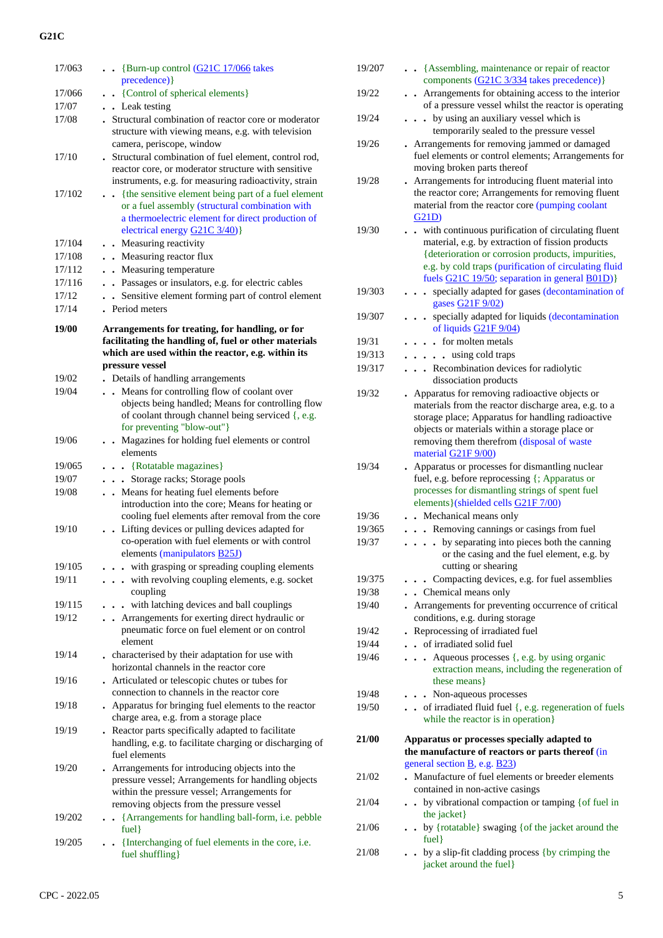| 17/063 | . . {Burn-up control (G21C 17/066 takes<br>precedence) }                                                                                                                                         |
|--------|--------------------------------------------------------------------------------------------------------------------------------------------------------------------------------------------------|
| 17/066 | • {Control of spherical elements}                                                                                                                                                                |
| 17/07  | • Leak testing                                                                                                                                                                                   |
| 17/08  | . Structural combination of reactor core or moderator<br>structure with viewing means, e.g. with television<br>camera, periscope, window                                                         |
| 17/10  | . Structural combination of fuel element, control rod,<br>reactor core, or moderator structure with sensitive<br>instruments, e.g. for measuring radioactivity, strain                           |
| 17/102 | • {the sensitive element being part of a fuel element<br>or a fuel assembly (structural combination with<br>a thermoelectric element for direct production of<br>electrical energy G21C 3/40)}   |
| 17/104 | . Measuring reactivity                                                                                                                                                                           |
| 17/108 | . Measuring reactor flux                                                                                                                                                                         |
| 17/112 | • Measuring temperature                                                                                                                                                                          |
| 17/116 | . Passages or insulators, e.g. for electric cables                                                                                                                                               |
| 17/12  | . Sensitive element forming part of control element                                                                                                                                              |
| 17/14  | . Period meters                                                                                                                                                                                  |
| 19/00  | Arrangements for treating, for handling, or for<br>facilitating the handling of, fuel or other materials<br>which are used within the reactor, e.g. within its<br>pressure vessel                |
| 19/02  | . Details of handling arrangements                                                                                                                                                               |
| 19/04  | Means for controlling flow of coolant over<br>$\ddot{\phantom{a}}$                                                                                                                               |
|        | objects being handled; Means for controlling flow<br>of coolant through channel being serviced {, e.g.<br>for preventing "blow-out"}                                                             |
| 19/06  | . Magazines for holding fuel elements or control<br>elements                                                                                                                                     |
| 19/065 | . . {Rotatable magazines}                                                                                                                                                                        |
| 19/07  | . Storage racks; Storage pools                                                                                                                                                                   |
| 19/08  | . . Means for heating fuel elements before<br>introduction into the core; Means for heating or<br>cooling fuel elements after removal from the core                                              |
| 19/10  | Lifting devices or pulling devices adapted for<br>co-operation with fuel elements or with control<br>elements (manipulators <b>B25J</b> )                                                        |
| 19/105 | . with grasping or spreading coupling elements                                                                                                                                                   |
| 19/11  | . with revolving coupling elements, e.g. socket<br>coupling                                                                                                                                      |
| 19/115 | with latching devices and ball couplings<br>$\ddot{\phantom{a}}$                                                                                                                                 |
| 19/12  | . Arrangements for exerting direct hydraulic or<br>pneumatic force on fuel element or on control<br>element                                                                                      |
| 19/14  | . characterised by their adaptation for use with<br>horizontal channels in the reactor core                                                                                                      |
| 19/16  | Articulated or telescopic chutes or tubes for<br>connection to channels in the reactor core                                                                                                      |
| 19/18  | . Apparatus for bringing fuel elements to the reactor<br>charge area, e.g. from a storage place                                                                                                  |
| 19/19  | . Reactor parts specifically adapted to facilitate<br>handling, e.g. to facilitate charging or discharging of<br>fuel elements                                                                   |
| 19/20  | Arrangements for introducing objects into the<br>pressure vessel; Arrangements for handling objects<br>within the pressure vessel; Arrangements for<br>removing objects from the pressure vessel |
| 19/202 | {Arrangements for handling ball-form, i.e. pebble<br>$\bullet$<br>$fuel$ }                                                                                                                       |
| 19/205 | • {Interchanging of fuel elements in the core, i.e.<br>fuel shuffling}                                                                                                                           |
|        |                                                                                                                                                                                                  |

| 19/207 | • · {Assembling, maintenance or repair of reactor                                                                                                                                                                                                                                                         |
|--------|-----------------------------------------------------------------------------------------------------------------------------------------------------------------------------------------------------------------------------------------------------------------------------------------------------------|
|        | components (G21C 3/334 takes precedence) }                                                                                                                                                                                                                                                                |
| 19/22  | . Arrangements for obtaining access to the interior<br>of a pressure vessel whilst the reactor is operating                                                                                                                                                                                               |
| 19/24  | by using an auxiliary vessel which is<br>.<br>temporarily sealed to the pressure vessel                                                                                                                                                                                                                   |
| 19/26  | Arrangements for removing jammed or damaged<br>fuel elements or control elements; Arrangements for<br>moving broken parts thereof                                                                                                                                                                         |
| 19/28  | Arrangements for introducing fluent material into<br>the reactor core; Arrangements for removing fluent<br>material from the reactor core (pumping coolant<br>G21D)                                                                                                                                       |
| 19/30  | - with continuous purification of circulating fluent<br>material, e.g. by extraction of fission products<br>{deterioration or corrosion products, impurities,<br>e.g. by cold traps (purification of circulating fluid<br>fuels G21C 19/50; separation in general B01D)}                                  |
| 19/303 | specially adapted for gases (decontamination of<br>$\sim$ $\sim$<br>$\bullet$<br>gases G21F 9/02)                                                                                                                                                                                                         |
| 19/307 | specially adapted for liquids (decontamination<br>$\ddot{\phantom{0}}$<br>of liquids G21F 9/04)                                                                                                                                                                                                           |
| 19/31  | . . for molten metals                                                                                                                                                                                                                                                                                     |
| 19/313 | $\cdots$ $\cdots$ using cold traps                                                                                                                                                                                                                                                                        |
| 19/317 | Recombination devices for radiolytic<br>$\ddot{\phantom{0}}$<br>dissociation products                                                                                                                                                                                                                     |
| 19/32  | Apparatus for removing radioactive objects or<br>$\ddot{\phantom{0}}$<br>materials from the reactor discharge area, e.g. to a<br>storage place; Apparatus for handling radioactive<br>objects or materials within a storage place or<br>removing them therefrom (disposal of waste<br>material G21F 9/00) |
| 19/34  | Apparatus or processes for dismantling nuclear<br>fuel, e.g. before reprocessing {; Apparatus or<br>processes for dismantling strings of spent fuel<br>elements } (shielded cells G21F 7/00)                                                                                                              |
| 19/36  | • Mechanical means only                                                                                                                                                                                                                                                                                   |
| 19/365 | . Removing cannings or casings from fuel                                                                                                                                                                                                                                                                  |
| 19/37  | by separating into pieces both the canning<br>$\ddots$<br>or the casing and the fuel element, e.g. by<br>cutting or shearing                                                                                                                                                                              |
| 19/375 | Compacting devices, e.g. for fuel assemblies<br>$\cdots$                                                                                                                                                                                                                                                  |
| 19/38  | . Chemical means only                                                                                                                                                                                                                                                                                     |
| 19/40  | Arrangements for preventing occurrence of critical<br>conditions, e.g. during storage                                                                                                                                                                                                                     |
| 19/42  | Reprocessing of irradiated fuel                                                                                                                                                                                                                                                                           |
| 19/44  | . . of irradiated solid fuel                                                                                                                                                                                                                                                                              |
| 19/46  | Aqueous processes {, e.g. by using organic<br>extraction means, including the regeneration of<br>these means                                                                                                                                                                                              |
| 19/48  | . Non-aqueous processes                                                                                                                                                                                                                                                                                   |
| 19/50  | . . of irradiated fluid fuel {, e.g. regeneration of fuels<br>while the reactor is in operation}                                                                                                                                                                                                          |
| 21/00  | Apparatus or processes specially adapted to<br>the manufacture of reactors or parts thereof (in                                                                                                                                                                                                           |
| 21/02  | general section B, e.g. B23)<br>• Manufacture of fuel elements or breeder elements<br>contained in non-active casings                                                                                                                                                                                     |
| 21/04  | by vibrational compaction or tamping {of fuel in<br>the jacket}                                                                                                                                                                                                                                           |
| 21/06  | by {rotatable} swaging {of the jacket around the<br>fuel                                                                                                                                                                                                                                                  |
| 21/08  | • by a slip-fit cladding process {by crimping the<br>jacket around the fuel}                                                                                                                                                                                                                              |